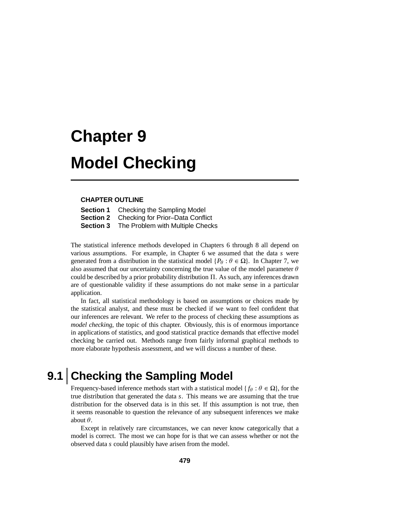# **Chapter 9 Model Checking**

### **CHAPTER OUTLINE**

| <b>Section 1</b> | Checking the Sampling Model      |
|------------------|----------------------------------|
| <b>Section 2</b> | Checking for Prior-Data Conflict |
| <b>Section 3</b> | The Problem with Multiple Checks |

The statistical inference methods developed in Chapters 6 through 8 all depend on various assumptions. For example, in Chapter 6 we assumed that the data *s* were generated from a distribution in the statistical model  $\{P_{\theta} : \theta \in \Omega\}$ . In Chapter 7, we also assumed that our uncertainty concerning the true value of the model parameter  $\theta$ could be described by a prior probability distribution  $\Pi$ . As such, any inferences drawn are of questionable validity if these assumptions do not make sense in a particular application.

In fact, all statistical methodology is based on assumptions or choices made by the statistical analyst, and these must be checked if we want to feel confident that our inferences are relevant. We refer to the process of checking these assumptions as *model checking*, the topic of this chapter. Obviously, this is of enormous importance in applications of statistics, and good statistical practice demands that effective model checking be carried out. Methods range from fairly informal graphical methods to more elaborate hypothesis assessment, and we will discuss a number of these.

# **9.1 Checking the Sampling Model**

Frequency-based inference methods start with a statistical model {*f*<sub>θ</sub> :  $\theta \in \Omega$ }, for the true distribution that generated the data *s*. This means we are assuming that the true distribution for the observed data is in this set. If this assumption is not true, then it seems reasonable to question the relevance of any subsequent inferences we make about  $\theta$ .

Except in relatively rare circumstances, we can never know categorically that a model is correct. The most we can hope for is that we can assess whether or not the observed data *s* could plausibly have arisen from the model.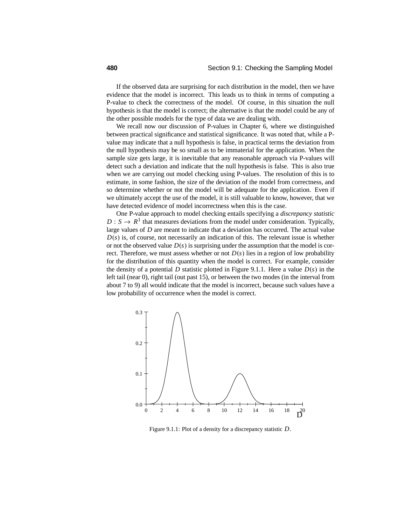If the observed data are surprising for each distribution in the model, then we have evidence that the model is incorrect. This leads us to think in terms of computing a P-value to check the correctness of the model. Of course, in this situation the null hypothesis is that the model is correct; the alternative is that the model could be any of the other possible models for the type of data we are dealing with.

We recall now our discussion of P-values in Chapter 6, where we distinguished between practical significance and statistical significance. It was noted that, while a Pvalue may indicate that a null hypothesis is false, in practical terms the deviation from the null hypothesis may be so small as to be immaterial for the application. When the sample size gets large, it is inevitable that any reasonable approach via P-values will detect such a deviation and indicate that the null hypothesis is false. This is also true when we are carrying out model checking using P-values. The resolution of this is to estimate, in some fashion, the size of the deviation of the model from correctness, and so determine whether or not the model will be adequate for the application. Even if we ultimately accept the use of the model, it is still valuable to know, however, that we have detected evidence of model incorrectness when this is the case.

One P-value approach to model checking entails specifying a *discrepancy statistic*  $D: S \to R<sup>1</sup>$  that measures deviations from the model under consideration. Typically, large values of *D* are meant to indicate that a deviation has occurred. The actual value  $D(s)$  is, of course, not necessarily an indication of this. The relevant issue is whether or not the observed value  $D(s)$  is surprising under the assumption that the model is correct. Therefore, we must assess whether or not  $D(s)$  lies in a region of low probability for the distribution of this quantity when the model is correct. For example, consider the density of a potential *D* statistic plotted in Figure 9.1.1. Here a value  $D(s)$  in the left tail (near 0), right tail (out past 15), or between the two modes (in the interval from about 7 to 9) all would indicate that the model is incorrect, because such values have a low probability of occurrence when the model is correct.



Figure 9.1.1: Plot of a density for a discrepancy statistic *D*.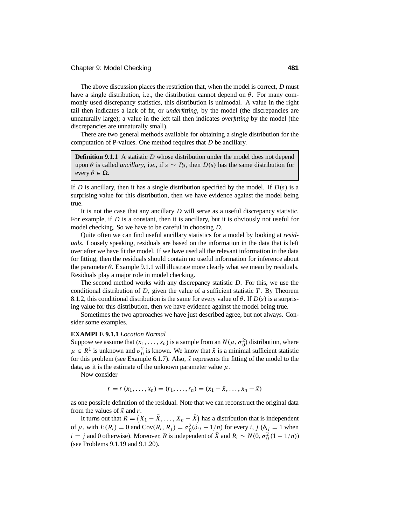The above discussion places the restriction that, when the model is correct, *D* must have a single distribution, i.e., the distribution cannot depend on  $\theta$ . For many commonly used discrepancy statistics, this distribution is unimodal. A value in the right tail then indicates a lack of fit, or *underfitting*, by the model (the discrepancies are unnaturally large); a value in the left tail then indicates *overfitting* by the model (the discrepancies are unnaturally small).

There are two general methods available for obtaining a single distribution for the computation of P-values. One method requires that *D* be ancillary.

**Definition 9.1.1** A statistic *D* whose distribution under the model does not depend upon  $\theta$  is called *ancillary*, i.e., if  $s \sim P_{\theta}$ , then  $D(s)$  has the same distribution for every  $\theta \in \Omega$ .

If *D* is ancillary, then it has a single distribution specified by the model. If  $D(s)$  is a surprising value for this distribution, then we have evidence against the model being true.

It is not the case that any ancillary *D* will serve as a useful discrepancy statistic. For example, if *D* is a constant, then it is ancillary, but it is obviously not useful for model checking. So we have to be careful in choosing *D*.

Quite often we can find useful ancillary statistics for a model by looking at *residuals*. Loosely speaking, residuals are based on the information in the data that is left over after we have fit the model. If we have used all the relevant information in the data for fitting, then the residuals should contain no useful information for inference about the parameter  $\theta$ . Example 9.1.1 will illustrate more clearly what we mean by residuals. Residuals play a major role in model checking.

The second method works with any discrepancy statistic *D*. For this, we use the conditional distribution of *D*, given the value of a sufficient statistic *T* . By Theorem 8.1.2, this conditional distribution is the same for every value of  $\theta$ . If  $D(s)$  is a surprising value for this distribution, then we have evidence against the model being true.

Sometimes the two approaches we have just described agree, but not always. Consider some examples.

#### **EXAMPLE 9.1.1** *Location Normal*

Suppose we assume that  $(x_1, \ldots, x_n)$  is a sample from an  $N(\mu, \sigma_0^2)$  distribution, where  $\mu \in R^1$  is unknown and  $\sigma_0^2$  is known. We know that  $\bar{x}$  is a minimal sufficient statistic for this problem (see Example 6.1.7). Also,  $\bar{x}$  represents the fitting of the model to the data, as it is the estimate of the unknown parameter value  $\mu$ .

Now consider

 $r = r(x_1, \ldots, x_n) = (r_1, \ldots, r_n) = (x_1 - \bar{x}, \ldots, x_n - \bar{x})$ 

as one possible definition of the residual. Note that we can reconstruct the original data from the values of  $\bar{x}$  and  $r$ .

It turns out that  $R = (X_1 - \bar{X}, \ldots, X_n - \bar{X})$  has a distribution that is independent of  $\mu$ , with  $E(R_i) = 0$  and  $Cov(R_i, R_j) = \sigma_0^2(\delta_{ij} - 1/n)$  for every *i*,  $j(\delta_{ij} = 1$  when  $i = j$  and 0 otherwise). Moreover, *R* is independent of  $\bar{X}$  and  $R_i \sim N(0, \sigma_0^2 (1 - 1/n))$ (see Problems 9.1.19 and 9.1.20).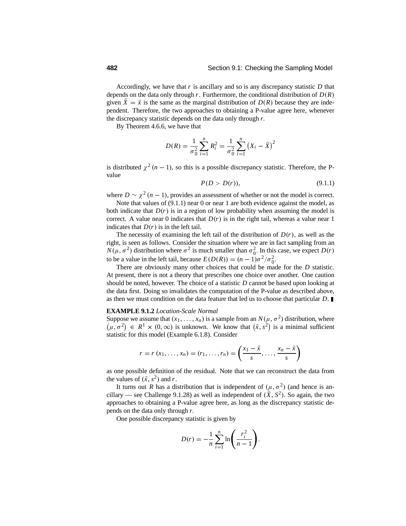Accordingly, we have that *r* is ancillary and so is any discrepancy statistic *D* that depends on the data only through *r*. Furthermore, the conditional distribution of  $D(R)$ given  $\bar{X} = \bar{x}$  is the same as the marginal distribution of  $D(R)$  because they are independent. Therefore, the two approaches to obtaining a P-value agree here, whenever the discrepancy statistic depends on the data only through *r*.

By Theorem 4.6.6, we have that

$$
D(R) = \frac{1}{\sigma_0^2} \sum_{i=1}^n R_i^2 = \frac{1}{\sigma_0^2} \sum_{i=1}^n (X_i - \bar{X})^2
$$

is distributed  $\chi^2$  (*n* − 1), so this is a possible discrepancy statistic. Therefore, the Pvalue

$$
P(D > D(r)),\tag{9.1.1}
$$

where  $D \sim \chi^2 (n-1)$ , provides an assessment of whether or not the model is correct.

Note that values of (9.1.1) near 0 or near 1 are both evidence against the model, as both indicate that  $D(r)$  is in a region of low probability when assuming the model is correct. A value near 0 indicates that  $D(r)$  is in the right tail, whereas a value near 1 indicates that  $D(r)$  is in the left tail.

The necessity of examining the left tail of the distribution of  $D(r)$ , as well as the right, is seen as follows. Consider the situation where we are in fact sampling from an  $N(\mu, \sigma^2)$  distribution where  $\sigma^2$  is much smaller than  $\sigma_0^2$ . In this case, we expect  $D(r)$ to be a value in the left tail, because  $E(D(R)) = (n-1)\sigma^2/\sigma_0^2$ .

There are obviously many other choices that could be made for the *D* statistic. At present, there is not a theory that prescribes one choice over another. One caution should be noted, however. The choice of a statistic *D* cannot be based upon looking at the data first. Doing so invalidates the computation of the P-value as described above, as then we must condition on the data feature that led us to choose that particular *D*.

#### **EXAMPLE 9.1.2** *Location-Scale Normal*

Suppose we assume that  $(x_1, \ldots, x_n)$  is a sample from an  $N(\mu, \sigma^2)$  distribution, where  $(\mu, \sigma^2) \in R^1 \times (0, \infty)$  is unknown. We know that  $(\bar{x}, s^2)$  is a minimal sufficient statistic for this model (Example 6.1.8). Consider

$$
r = r(x_1, \ldots, x_n) = (r_1, \ldots, r_n) = \left(\frac{x_1 - \bar{x}}{s}, \ldots, \frac{x_n - \bar{x}}{s}\right)
$$

as one possible definition of the residual. Note that we can reconstruct the data from the values of  $(\bar{x}, s^2)$  and *r*.

It turns out *R* has a distribution that is independent of  $(\mu, \sigma^2)$  (and hence is ancillary — see Challenge 9.1.28) as well as independent of  $(\bar{X}, S^2)$ . So again, the two approaches to obtaining a P-value agree here, as long as the discrepancy statistic depends on the data only through *r*.

One possible discrepancy statistic is given by

$$
D(r) = -\frac{1}{n} \sum_{i=1}^{n} \ln\left(\frac{r_i^2}{n-1}\right).
$$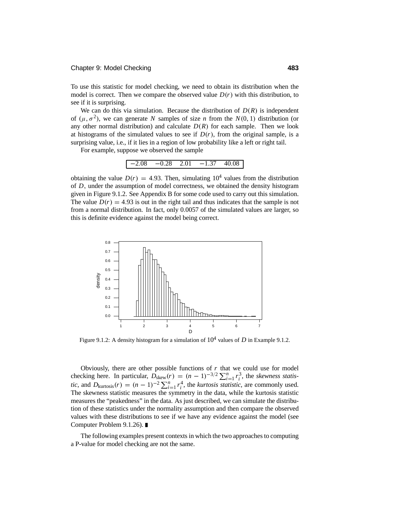#### Chapter 9: Model Checking **483**

To use this statistic for model checking, we need to obtain its distribution when the model is correct. Then we compare the observed value  $D(r)$  with this distribution, to see if it is surprising.

We can do this via simulation. Because the distribution of  $D(R)$  is independent of  $(\mu, \sigma^2)$ , we can generate *N* samples of size *n* from the  $N(0, 1)$  distribution (or any other normal distribution) and calculate  $D(R)$  for each sample. Then we look at histograms of the simulated values to see if  $D(r)$ , from the original sample, is a surprising value, i.e., if it lies in a region of low probability like a left or right tail.

For example, suppose we observed the sample

| $-2.08$ | $-0.28$ | $-1,37$ | 08 |
|---------|---------|---------|----|
|         |         |         |    |

obtaining the value  $D(r) = 4.93$ . Then, simulating  $10<sup>4</sup>$  values from the distribution of *D*, under the assumption of model correctness, we obtained the density histogram given in Figure 9.1.2. See Appendix B for some code used to carry out this simulation. The value  $D(r) = 4.93$  is out in the right tail and thus indicates that the sample is not from a normal distribution. In fact, only 0.0057 of the simulated values are larger, so this is definite evidence against the model being correct.



Figure 9.1.2: A density histogram for a simulation of  $10^4$  values of *D* in Example 9.1.2.

Obviously, there are other possible functions of  $r$  that we could use for model checking here. In particular,  $D_{\text{skew}}(r) = (n-1)^{-3/2} \sum_{i=1}^{n} r_i^3$ , the *skewness statistic*, and *D*<sub>kurtosis( $r$ ) =  $(n-1)^{-2} \sum_{i=1}^{n} r_i^4$ , the *kurtosis statistic*, are commonly used.</sub> The skewness statistic measures the symmetry in the data, while the kurtosis statistic measures the "peakedness" in the data. As just described, we can simulate the distribution of these statistics under the normality assumption and then compare the observed values with these distributions to see if we have any evidence against the model (see Computer Problem 9.1.26).

The following examples present contexts in which the two approaches to computing a P-value for model checking are not the same.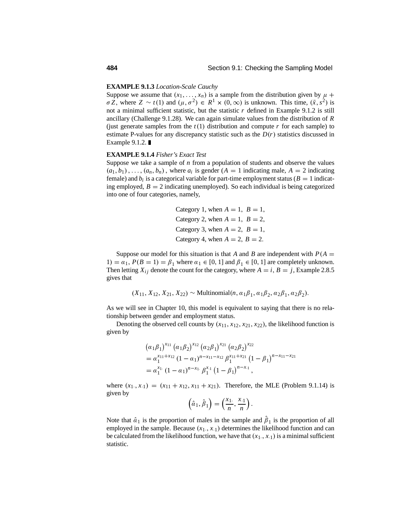### **EXAMPLE 9.1.3** *Location-Scale Cauchy*

Suppose we assume that  $(x_1, \ldots, x_n)$  is a sample from the distribution given by  $\mu$  +  $\sigma Z$ , where  $Z \sim t(1)$  and  $(\mu, \sigma^2) \in R^1 \times (0, \infty)$  is unknown. This time,  $(\bar{x}, s^2)$  is not a minimal sufficient statistic, but the statistic  $r$  defined in Example 9.1.2 is still ancillary (Challenge 9.1.28). We can again simulate values from the distribution of *R* (just generate samples from the  $t(1)$  distribution and compute  $r$  for each sample) to estimate P-values for any discrepancy statistic such as the *D*(*r*) statistics discussed in Example 9.1.2.

#### **EXAMPLE 9.1.4** *Fisher's Exact Test*

Suppose we take a sample of *n* from a population of students and observe the values  $(a_1, b_1), \ldots, (a_n, b_n)$ , where  $a_i$  is gender  $(A = 1)$  indicating male,  $A = 2$  indicating female) and  $b_i$  is a categorical variable for part-time employment status ( $B = 1$  indicating employed,  $B = 2$  indicating unemployed). So each individual is being categorized into one of four categories, namely,

> Category 1, when  $A = 1$ ,  $B = 1$ , Category 2, when  $A = 1$ ,  $B = 2$ , Category 3, when  $A = 2$ ,  $B = 1$ , Category 4, when  $A = 2$ ,  $B = 2$ .

Suppose our model for this situation is that *A* and *B* are independent with  $P(A =$ 1) =  $\alpha_1$ ,  $P(B = 1) = \beta_1$  where  $\alpha_1 \in [0, 1]$  and  $\beta_1 \in [0, 1]$  are completely unknown. Then letting  $X_{ij}$  denote the count for the category, where  $A = i$ ,  $B = j$ , Example 2.8.5 gives that

$$
(X_{11}, X_{12}, X_{21}, X_{22}) \sim \text{Multinomial}(n, \alpha_1 \beta_1, \alpha_1 \beta_2, \alpha_2 \beta_1, \alpha_2 \beta_2).
$$

As we will see in Chapter 10, this model is equivalent to saying that there is no relationship between gender and employment status.

Denoting the observed cell counts by  $(x_{11}, x_{12}, x_{21}, x_{22})$ , the likelihood function is given by

$$
(\alpha_1 \beta_1)^{x_{11}} (\alpha_1 \beta_2)^{x_{12}} (\alpha_2 \beta_1)^{x_{21}} (\alpha_2 \beta_2)^{x_{22}}
$$
  
=  $\alpha_1^{x_{11}+x_{12}} (1-\alpha_1)^{n-x_{11}-x_{12}} \beta_1^{x_{11}+x_{21}} (1-\beta_1)^{n-x_{11}-x_{21}}$   
=  $\alpha_1^{x_1} (1-\alpha_1)^{n-x_1} \beta_1^{x_1} (1-\beta_1)^{n-x_1}$ ,

where  $(x_1, x_1) = (x_{11} + x_{12}, x_{11} + x_{21})$ . Therefore, the MLE (Problem 9.1.14) is given by

$$
(\hat{a}_1, \hat{\beta}_1) = \left(\frac{x_1}{n}, \frac{x_1}{n}\right).
$$

Note that  $\hat{\alpha}_1$  is the proportion of males in the sample and  $\hat{\beta}_1$  is the proportion of all employed in the sample. Because  $(x_1, x_1)$  determines the likelihood function and can be calculated from the likelihood function, we have that  $(x_1, x_1)$  is a minimal sufficient statistic.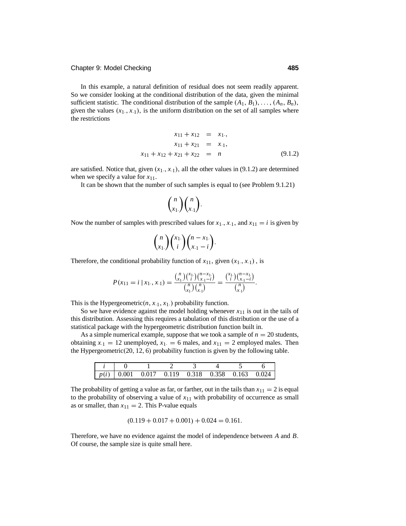In this example, a natural definition of residual does not seem readily apparent. So we consider looking at the conditional distribution of the data, given the minimal sufficient statistic. The conditional distribution of the sample  $(A_1, B_1), \ldots, (A_n, B_n)$ , given the values  $(x_1, x_1)$ , is the uniform distribution on the set of all samples where the restrictions

$$
x_{11} + x_{12} = x_1,
$$
  
\n
$$
x_{11} + x_{21} = x_1,
$$
  
\n
$$
x_{11} + x_{12} + x_{21} + x_{22} = n
$$
 (9.1.2)

are satisfied. Notice that, given  $(x_1, x_1)$ , all the other values in (9.1.2) are determined when we specify a value for  $x_{11}$ .

It can be shown that the number of such samples is equal to (see Problem 9.1.21)

$$
\binom{n}{x_1}\binom{n}{x_1}.
$$

Now the number of samples with prescribed values for  $x_1$ ,  $x_1$ , and  $x_{11} = i$  is given by

$$
\binom{n}{x_1}\binom{x_1}{i}\binom{n-x_1}{x_1-i}.
$$

Therefore, the conditional probability function of  $x_{11}$ , given  $(x_1, x_1)$ , is

$$
P(x_{11}=i | x_1, x_{.1}) = \frac{{\binom{n}{x_1}} {\binom{x_1}{i}} {\binom{n-x_1}{x_{.1}-i}}}{\binom{n}{x_1}} = \frac{{\binom{x_1}{i}} {\binom{n-x_1}{x_{.1}-i}}}{\binom{n}{x_{.1}}}.
$$

This is the Hypergeometric( $n$ ,  $x_1$ ,  $x_1$ .) probability function.

So we have evidence against the model holding whenever  $x_{11}$  is out in the tails of this distribution. Assessing this requires a tabulation of this distribution or the use of a statistical package with the hypergeometric distribution function built in.

As a simple numerical example, suppose that we took a sample of  $n = 20$  students, obtaining  $x_{-1} = 12$  unemployed,  $x_{1-} = 6$  males, and  $x_{11} = 2$  employed males. Then the Hypergeometric(20, 12, 6) probability function is given by the following table.

|  | $p(i)$   0.001 0.017 0.119 0.318 0.358 0.163 0.024 |  |  |  |
|--|----------------------------------------------------|--|--|--|

The probability of getting a value as far, or farther, out in the tails than  $x_{11} = 2$  is equal to the probability of observing a value of  $x_{11}$  with probability of occurrence as small as or smaller, than  $x_{11} = 2$ . This P-value equals

$$
(0.119 + 0.017 + 0.001) + 0.024 = 0.161.
$$

Therefore, we have no evidence against the model of independence between *A* and *B*. Of course, the sample size is quite small here.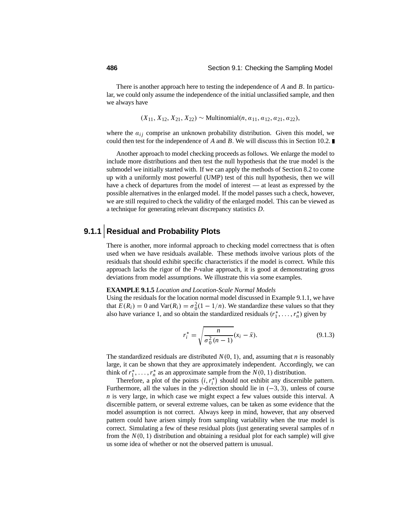There is another approach here to testing the independence of *A* and *B*. In particular, we could only assume the independence of the initial unclassified sample, and then we always have

 $(X_{11}, X_{12}, X_{21}, X_{22}) \sim \text{Multinomial}(n, \alpha_{11}, \alpha_{12}, \alpha_{21}, \alpha_{22}),$ 

where the  $a_{ij}$  comprise an unknown probability distribution. Given this model, we could then test for the independence of *A* and *B*. We will discuss this in Section 10.2.

Another approach to model checking proceeds as follows. We enlarge the model to include more distributions and then test the null hypothesis that the true model is the submodel we initially started with. If we can apply the methods of Section 8.2 to come up with a uniformly most powerful (UMP) test of this null hypothesis, then we will have a check of departures from the model of interest — at least as expressed by the possible alternatives in the enlarged model. If the model passes such a check, however, we are still required to check the validity of the enlarged model. This can be viewed as a technique for generating relevant discrepancy statistics *D*.

# **9.1.1 Residual and Probability Plots**

There is another, more informal approach to checking model correctness that is often used when we have residuals available. These methods involve various plots of the residuals that should exhibit specific characteristics if the model is correct. While this approach lacks the rigor of the P-value approach, it is good at demonstrating gross deviations from model assumptions. We illustrate this via some examples.

#### **EXAMPLE 9.1.5** *Location and Location-Scale Normal Models*

Using the residuals for the location normal model discussed in Example 9.1.1, we have that  $E(R_i) = 0$  and  $Var(R_i) = \sigma_0^2(1 - 1/n)$ . We standardize these values so that they also have variance 1, and so obtain the standardized residuals  $(r_1^*, \ldots, r_n^*)$  given by

$$
r_i^* = \sqrt{\frac{n}{\sigma_0^2 (n-1)}} (x_i - \bar{x}).
$$
\n(9.1.3)

The standardized residuals are distributed  $N(0, 1)$ , and, assuming that *n* is reasonably large, it can be shown that they are approximately independent. Accordingly, we can think of  $r_1^*, \ldots, r_n^*$  as an approximate sample from the  $N(0, 1)$  distribution.

Therefore, a plot of the points  $(i, r_i^*)$  should not exhibit any discernible pattern. Furthermore, all the values in the *<sup>y</sup>*-direction should lie in (−3, <sup>3</sup>), unless of course *n* is very large, in which case we might expect a few values outside this interval. A discernible pattern, or several extreme values, can be taken as some evidence that the model assumption is not correct. Always keep in mind, however, that any observed pattern could have arisen simply from sampling variability when the true model is correct. Simulating a few of these residual plots (just generating several samples of *n* from the  $N(0, 1)$  distribution and obtaining a residual plot for each sample) will give us some idea of whether or not the observed pattern is unusual.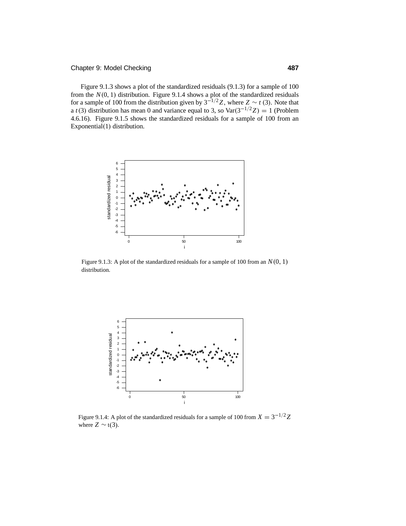# Chapter 9: Model Checking **487**

Figure 9.1.3 shows a plot of the standardized residuals (9.1.3) for a sample of 100 from the *N*(0, 1) distribution. Figure 9.1.4 shows a plot of the standardized residuals for a sample of 100 from the distribution given by  $3^{-1/2}Z$ , where  $Z \sim t$  (3). Note that a *t*(3) distribution has mean 0 and variance equal to 3, so  $\text{Var}(3^{-1/2}Z) = 1$  (Problem 4.6.16). Figure 9.1.5 shows the standardized residuals for a sample of 100 from an Exponential(1) distribution.



Figure 9.1.3: A plot of the standardized residuals for a sample of 100 from an *N*(0, 1) distribution.



Figure 9.1.4: A plot of the standardized residuals for a sample of 100 from  $X = 3^{-1/2}Z$ where  $Z \sim t(3)$ .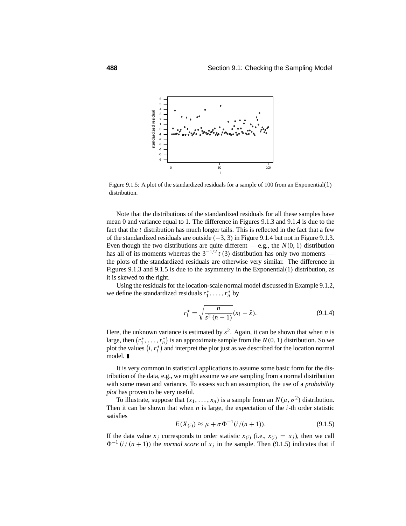

Figure 9.1.5: A plot of the standardized residuals for a sample of 100 from an Exponential(1) distribution.

Note that the distributions of the standardized residuals for all these samples have mean 0 and variance equal to 1. The difference in Figures 9.1.3 and 9.1.4 is due to the fact that the *t* distribution has much longer tails. This is reflected in the fact that a few of the standardized residuals are outside (−3, <sup>3</sup>) in Figure 9.1.4 but not in Figure 9.1.3. Even though the two distributions are quite different — e.g., the  $N(0, 1)$  distribution has all of its moments whereas the  $3^{-1/2}t(3)$  distribution has only two moments the plots of the standardized residuals are otherwise very similar. The difference in Figures 9.1.3 and 9.1.5 is due to the asymmetry in the Exponential(1) distribution, as it is skewed to the right.

Using the residuals for the location-scale normal model discussed in Example 9.1.2, we define the standardized residuals  $r_1^*, \ldots, r_n^*$  by

$$
r_i^* = \sqrt{\frac{n}{s^2(n-1)}} (x_i - \bar{x}).
$$
\n(9.1.4)

Here, the unknown variance is estimated by  $s^2$ . Again, it can be shown that when *n* is large, then  $(r_1^*, \ldots, r_n^*)$  is an approximate sample from the  $N(0, 1)$  distribution. So we plot the values  $(i, r_i^*)$  and interpret the plot just as we described for the location normal model.

It is very common in statistical applications to assume some basic form for the distribution of the data, e.g., we might assume we are sampling from a normal distribution with some mean and variance. To assess such an assumption, the use of a *probability plot* has proven to be very useful.

To illustrate, suppose that  $(x_1, \ldots, x_n)$  is a sample from an  $N(\mu, \sigma^2)$  distribution. Then it can be shown that when *n* is large, the expectation of the *i*-th order statistic satisfies

$$
E(X_{(i)}) \approx \mu + \sigma \Phi^{-1}(i/(n+1)).
$$
 (9.1.5)

If the data value  $x_j$  corresponds to order statistic  $x_{(i)}$  (i.e.,  $x_{(i)} = x_j$ ), then we call  $\Phi^{-1}(i/(n+1))$  the *normal score* of  $x_j$  in the sample. Then (9.1.5) indicates that if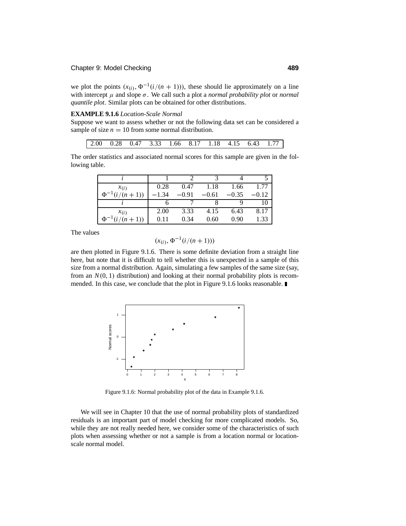we plot the points  $(x_{(i)}, \Phi^{-1}(i/(n + 1)))$ , these should lie approximately on a line with intercept  $\mu$  and slope  $\sigma$ . We call such a plot a *normal probability plot* or *normal quantile plot*. Similar plots can be obtained for other distributions.

### **EXAMPLE 9.1.6** *Location-Scale Normal*

Suppose we want to assess whether or not the following data set can be considered a sample of size  $n = 10$  from some normal distribution.

| 2.00 0.28 0.47 3.33 1.66 8.17 1.18 4.15 6.43 1.77 |  |
|---------------------------------------------------|--|
|---------------------------------------------------|--|

The order statistics and associated normal scores for this sample are given in the following table.

| x(i)                 | 0.28    | 0.47    | 1.18    | 1.66    | 1.77    |
|----------------------|---------|---------|---------|---------|---------|
| $\Phi^{-1}(i/(n+1))$ | $-1.34$ | $-0.91$ | $-0.61$ | $-0.35$ | $-0.12$ |
|                      |         |         |         |         |         |
| $x_{(i)}$            | 2.00    | 3.33    | 4.15    | 6.43    | 8.17    |
| $\Phi^{-1}(i/(n+1))$ | 0.11    | 0.34    | 0.60    | 0.90    | 1.33    |

The values

$$
(x_{(i)}, \Phi^{-1}(i/(n+1)))
$$

are then plotted in Figure 9.1.6. There is some definite deviation from a straight line here, but note that it is difficult to tell whether this is unexpected in a sample of this size from a normal distribution. Again, simulating a few samples of the same size (say, from an  $N(0, 1)$  distribution) and looking at their normal probability plots is recommended. In this case, we conclude that the plot in Figure 9.1.6 looks reasonable.



Figure 9.1.6: Normal probability plot of the data in Example 9.1.6.

We will see in Chapter 10 that the use of normal probability plots of standardized residuals is an important part of model checking for more complicated models. So, while they are not really needed here, we consider some of the characteristics of such plots when assessing whether or not a sample is from a location normal or locationscale normal model.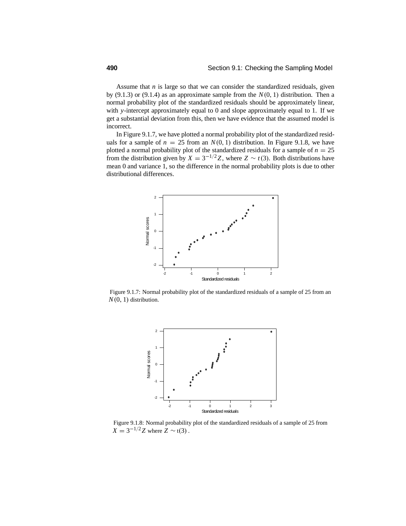Assume that  $n$  is large so that we can consider the standardized residuals, given by  $(9.1.3)$  or  $(9.1.4)$  as an approximate sample from the  $N(0, 1)$  distribution. Then a normal probability plot of the standardized residuals should be approximately linear, with *y*-intercept approximately equal to 0 and slope approximately equal to 1. If we get a substantial deviation from this, then we have evidence that the assumed model is incorrect.

In Figure 9.1.7, we have plotted a normal probability plot of the standardized residuals for a sample of  $n = 25$  from an  $N(0, 1)$  distribution. In Figure 9.1.8, we have plotted a normal probability plot of the standardized residuals for a sample of  $n = 25$ from the distribution given by  $X = 3^{-1/2}Z$ , where  $Z \sim t(3)$ . Both distributions have mean 0 and variance 1, so the difference in the normal probability plots is due to other distributional differences.



Figure 9.1.7: Normal probability plot of the standardized residuals of a sample of 25 from an  $N(0, 1)$  distribution.



Figure 9.1.8: Normal probability plot of the standardized residuals of a sample of 25 from  $X = 3^{-1/2}Z$  where  $Z \sim t(3)$ .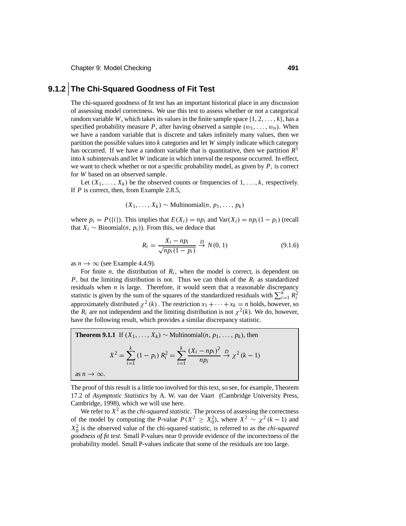Chapter 9: Model Checking **491**

# **9.1.2 The Chi-Squared Goodness of Fit Test**

The chi-squared goodness of fit test has an important historical place in any discussion of assessing model correctness. We use this test to assess whether or not a categorical random variable *W*, which takes its values in the finite sample space  $\{1, 2, \ldots, k\}$ , has a specified probability measure *P*, after having observed a sample  $(w_1, \ldots, w_n)$ . When we have a random variable that is discrete and takes infinitely many values, then we partition the possible values into *k* categories and let *W* simply indicate which category has occurred. If we have a random variable that is quantitative, then we partition  $R<sup>1</sup>$ into *k* subintervals and let *W* indicate in which interval the response occurred. In effect, we want to check whether or not a specific probability model, as given by *P*, is correct for *W* based on an observed sample.

Let  $(X_1, \ldots, X_k)$  be the observed counts or frequencies of  $1, \ldots, k$ , respectively. If *P* is correct, then, from Example 2.8.5,

$$
(X_1, \ldots, X_k) \sim \text{Multinomial}(n, p_1, \ldots, p_k)
$$

where  $p_i = P({i})$ . This implies that  $E(X_i) = np_i$  and  $Var(X_i) = np_i(1 - p_i)$  (recall that *X<sub>i</sub>* ∼ Binomial(*n*,  $p_i$ )). From this, we deduce that

$$
R_i = \frac{X_i - np_i}{\sqrt{np_i(1 - p_i)}} \stackrel{D}{\to} N(0, 1)
$$
 (9.1.6)

as  $n \to \infty$  (see Example 4.4.9).

For finite *n*, the distribution of  $R_i$ , when the model is correct, is dependent on *P*, but the limiting distribution is not. Thus we can think of the *Ri* as standardized residuals when  $n$  is large. Therefore, it would seem that a reasonable discrepancy statistic is given by the sum of the squares of the standardized residuals with  $\sum_{i=1}^{k} R_i^2$ approximately distributed  $\chi^2(k)$ . The restriction  $x_1 + \cdots + x_k = n$  holds, however, so the  $R_i$  are not independent and the limiting distribution is not  $\chi^2(k)$ . We do, however, have the following result, which provides a similar discrepancy statistic.

**Theorem 9.1.1** If 
$$
(X_1, ..., X_k) \sim \text{Multinomial}(n, p_1, ..., p_k)
$$
, then  
\n
$$
X^2 = \sum_{i=1}^k (1 - p_i) R_i^2 = \sum_{i=1}^k \frac{(X_i - np_i)^2}{np_i} \xrightarrow{D} \chi^2 (k - 1)
$$
\nas  $n \to \infty$ .

The proof of this result is a little too involved for this text, so see, for example, Theorem 17.2 of *Asymptotic Statistics* by A. W. van der Vaart (Cambridge University Press, Cambridge, 1998), which we will use here.

We refer to  $X^2$  as the *chi-squared statistic*. The process of assessing the correctness of the model by computing the P-value  $P(X^2 \ge X_0^2)$ , where  $X^2 \sim \chi^2 (k-1)$  and  $X_0^2$  is the observed value of the chi-squared statistic, is referred to as the *chi-squared goodness of fit test*. Small P-values near 0 provide evidence of the incorrectness of the probability model. Small P-values indicate that some of the residuals are too large.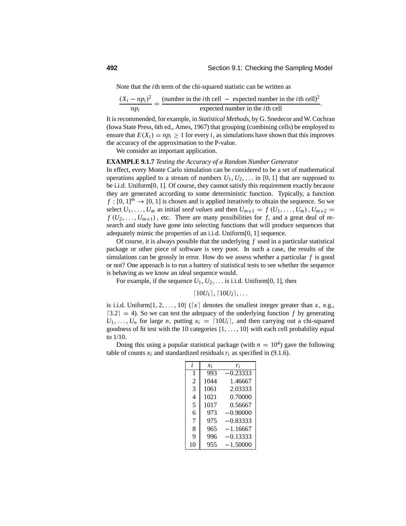Note that the *i*th term of the chi-squared statistic can be written as

$$
\frac{(X_i - np_i)^2}{np_i} = \frac{(\text{number in the } i \text{th cell } - \text{ expected number in the } i \text{th cell})^2}{\text{expected number in the } i \text{th cell}}.
$$

It is recommended, for example, in *Statistical Methods*, by G. Snedecor and W. Cochran (Iowa State Press, 6th ed., Ames, 1967) that grouping (combining cells) be employed to ensure that  $E(X_i) = np_i \ge 1$  for every *i*, as simulations have shown that this improves the accuracy of the approximation to the P-value.

We consider an important application.

#### **EXAMPLE 9.1.7** *Testing the Accuracy of a Random Number Generator*

In effect, every Monte Carlo simulation can be considered to be a set of mathematical operations applied to a stream of numbers  $U_1, U_2, \ldots$  in [0, 1] that are supposed to be i.i.d. Uniform[0, 1]. Of course, they cannot satisfy this requirement exactly because they are generated according to some deterministic function. Typically, a function  $f : [0, 1]^m \to [0, 1]$  is chosen and is applied iteratively to obtain the sequence. So we select  $U_1, \ldots, U_m$  as initial *seed values* and then  $U_{m+1} = f(U_1, \ldots, U_m)$ ,  $U_{m+2} =$  $f(U_2, \ldots, U_{m+1})$ , etc. There are many possibilities for *f*, and a great deal of research and study have gone into selecting functions that will produce sequences that adequately mimic the properties of an i.i.d. Uniform[0, 1] sequence.

Of course, it is always possible that the underlying *f* used in a particular statistical package or other piece of software is very poor. In such a case, the results of the simulations can be grossly in error. How do we assess whether a particular *f* is good or not? One approach is to run a battery of statistical tests to see whether the sequence is behaving as we know an ideal sequence would.

For example, if the sequence  $U_1, U_2, \ldots$  is i.i.d. Uniform[0, 1], then

 $[10U_1]$ ,  $[10U_2]$ , ...

is i.i.d. Uniform $\{1, 2, \ldots, 10\}$  ([x] denotes the smallest integer greater than *x*, e.g.,  $[3.2] = 4$ ). So we can test the adequacy of the underlying function f by generating  $U_1, \ldots, U_n$  for large *n*, putting  $x_i = \lfloor 10U_i \rfloor$ , and then carrying out a chi-squared goodness of fit test with the 10 categories  $\{1, \ldots, 10\}$  with each cell probability equal to 1/10.

Doing this using a popular statistical package (with  $n = 10<sup>4</sup>$ ) gave the following table of counts  $x_i$  and standardized residuals  $r_i$  as specified in (9.1.6).

| i.             | $x_i$ | $r_i$      |
|----------------|-------|------------|
| 1              | 993   | $-0.23333$ |
| $\overline{2}$ | 1044  | 1.46667    |
| 3              | 1061  | 2.03333    |
| 4              | 1021  | 0.70000    |
| 5              | 1017  | 0.56667    |
| 6              | 973   | $-0.90000$ |
| 7              | 975   | $-0.83333$ |
| 8              | 965   | $-1.16667$ |
| 9              | 996   | $-0.13333$ |
| 10             | 955   | $-1.50000$ |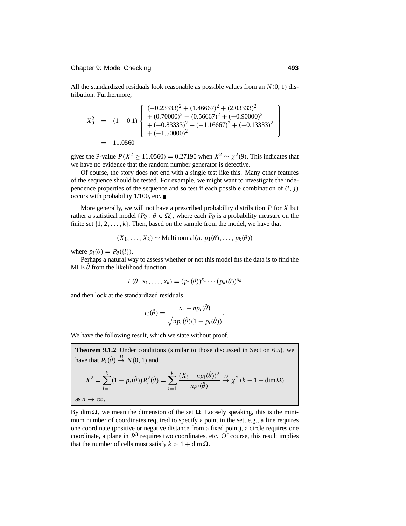All the standardized residuals look reasonable as possible values from an  $N(0, 1)$  distribution. Furthermore,

$$
X_0^2 = (1 - 0.1) \begin{cases} (-0.23333)^2 + (1.46667)^2 + (2.03333)^2 \\ + (0.70000)^2 + (0.56667)^2 + (-0.90000)^2 \\ + (-0.83333)^2 + (-1.16667)^2 + (-0.13333)^2 \\ + (-1.50000)^2 \end{cases}
$$
  
= 11.0560

gives the P-value  $P(X^2 \ge 11.0560) = 0.27190$  when  $X^2 \sim \chi^2(9)$ . This indicates that we have no evidence that the random number generator is defective.

Of course, the story does not end with a single test like this. Many other features of the sequence should be tested. For example, we might want to investigate the independence properties of the sequence and so test if each possible combination of  $(i, j)$ occurs with probability 1/100, etc.

More generally, we will not have a prescribed probability distribution *P* for *X* but rather a statistical model  $\{P_{\theta} : \theta \in \Omega\}$ , where each  $P_{\theta}$  is a probability measure on the finite set  $\{1, 2, \ldots, k\}$ . Then, based on the sample from the model, we have that

$$
(X_1, ..., X_k)
$$
 ~ Multinomial $(n, p_1(\theta), ..., p_k(\theta))$ 

where  $p_i(\theta) = P_{\theta}(\{i\}).$ 

Perhaps a natural way to assess whether or not this model fits the data is to find the MLE  $\hat{\theta}$  from the likelihood function

$$
L(\theta \mid x_1, \ldots, x_k) = (p_1(\theta))^{x_1} \cdots (p_k(\theta))^{x_k}
$$

and then look at the standardized residuals

$$
r_i(\hat{\theta}) = \frac{x_i - np_i(\hat{\theta})}{\sqrt{np_i(\hat{\theta})(1 - p_i(\hat{\theta}))}}
$$

.

We have the following result, which we state without proof.

**Theorem 9.1.2** Under conditions (similar to those discussed in Section 6.5), we have that  $R_i(\hat{\theta}) \stackrel{D}{\rightarrow} N(0, 1)$  and  $X^2 = \sum^k$ *<sup>i</sup>*=<sup>1</sup>  $(1 - p_i(\hat{\theta})) R_i^2(\hat{\theta}) = \sum^k$ *<sup>i</sup>*=<sup>1</sup>  $\frac{(X_i - np_i(\hat{\theta}))^2}{(X_i - np_i(\hat{\theta}))^2}$  $np_i(\hat{\theta})$  $\stackrel{D}{\rightarrow} \chi^2 (k-1 - \dim \Omega)$ as  $n \to \infty$ .

By dim  $\Omega$ , we mean the dimension of the set  $\Omega$ . Loosely speaking, this is the minimum number of coordinates required to specify a point in the set, e.g., a line requires one coordinate (positive or negative distance from a fixed point), a circle requires one coordinate, a plane in  $R<sup>3</sup>$  requires two coordinates, etc. Of course, this result implies that the number of cells must satisfy  $k > 1 + \dim \Omega$ .

 $\mathbf{I}$  $\mathbf{I}$ 

 $\vert$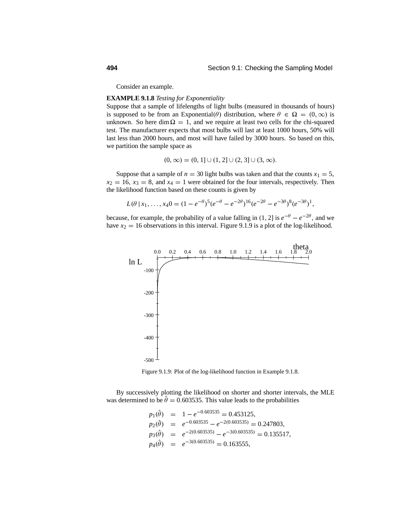Consider an example.

### **EXAMPLE 9.1.8** *Testing for Exponentiality*

Suppose that a sample of lifelengths of light bulbs (measured in thousands of hours) is supposed to be from an Exponential( $\theta$ ) distribution, where  $\theta \in \Omega = (0,\infty)$  is unknown. So here dim  $\Omega = 1$ , and we require at least two cells for the chi-squared test. The manufacturer expects that most bulbs will last at least 1000 hours, 50% will last less than 2000 hours, and most will have failed by 3000 hours. So based on this, we partition the sample space as

$$
(0, \infty) = (0, 1] \cup (1, 2] \cup (2, 3] \cup (3, \infty).
$$

Suppose that a sample of  $n = 30$  light bulbs was taken and that the counts  $x_1 = 5$ ,  $x_2 = 16$ ,  $x_3 = 8$ , and  $x_4 = 1$  were obtained for the four intervals, respectively. Then the likelihood function based on these counts is given by

$$
L(\theta \mid x_1, \ldots, x_4 0 = (1 - e^{-\theta})^5 (e^{-\theta} - e^{-2\theta})^{16} (e^{-2\theta} - e^{-3\theta})^8 (e^{-3\theta})^1,
$$

because, for example, the probability of a value falling in (1, 2] is  $e^{-\theta} - e^{-2\theta}$ , and we have  $x_2 = 16$  observations in this interval. Figure 9.1.9 is a plot of the log-likelihood.



Figure 9.1.9: Plot of the log-likelihood function in Example 9.1.8.

By successively plotting the likelihood on shorter and shorter intervals, the MLE was determined to be  $\hat{\theta} = 0.603535$ . This value leads to the probabilities

$$
p_1(\hat{\theta}) = 1 - e^{-0.603535} = 0.453125,
$$
  
\n
$$
p_2(\hat{\theta}) = e^{-0.603535} - e^{-2(0.603535)} = 0.247803,
$$
  
\n
$$
p_3(\hat{\theta}) = e^{-2(0.603535)} - e^{-3(0.603535)} = 0.135517,
$$
  
\n
$$
p_4(\hat{\theta}) = e^{-3(0.603535)} = 0.163555,
$$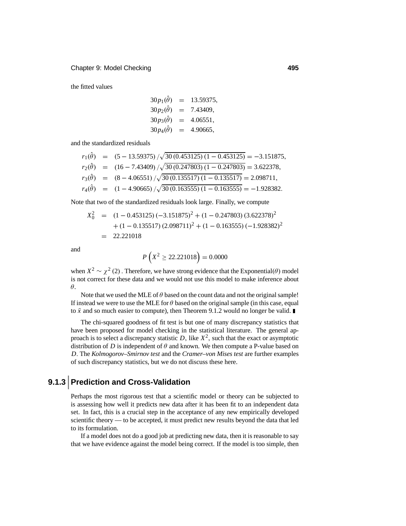the fitted values

$$
30p_1(\hat{\theta}) = 13.59375,
$$
  
\n
$$
30p_2(\hat{\theta}) = 7.43409,
$$
  
\n
$$
30p_3(\hat{\theta}) = 4.06551,
$$
  
\n
$$
30p_4(\hat{\theta}) = 4.90665,
$$

and the standardized residuals

$$
r_1(\hat{\theta}) = (5 - 13.59375) / \sqrt{30 (0.453125) (1 - 0.453125)} = -3.151875,
$$
  
\n
$$
r_2(\hat{\theta}) = (16 - 7.43409) / \sqrt{30 (0.247803) (1 - 0.247803)} = 3.622378,
$$
  
\n
$$
r_3(\hat{\theta}) = (8 - 4.06551) / \sqrt{30 (0.135517) (1 - 0.135517)} = 2.098711,
$$
  
\n
$$
r_4(\hat{\theta}) = (1 - 4.90665) / \sqrt{30 (0.163555) (1 - 0.163555)} = -1.928382.
$$

Note that two of the standardized residuals look large. Finally, we compute

$$
X_0^2 = (1 - 0.453125) (-3.151875)^2 + (1 - 0.247803) (3.622378)^2
$$
  
+ (1 - 0.135517) (2.098711)<sup>2</sup> + (1 - 0.163555) (-1.928382)<sup>2</sup>  
= 22.221018

and

$$
P\left(X^2 \ge 22.221018\right) = 0.0000
$$

when  $X^2 \sim \chi^2$  (2). Therefore, we have strong evidence that the Exponential( $\theta$ ) model is not correct for these data and we would not use this model to make inference about θ.

Note that we used the MLE of  $\theta$  based on the count data and not the original sample! If instead we were to use the MLE for  $\theta$  based on the original sample (in this case, equal to  $\bar{x}$  and so much easier to compute), then Theorem 9.1.2 would no longer be valid.

The chi-squared goodness of fit test is but one of many discrepancy statistics that have been proposed for model checking in the statistical literature. The general approach is to select a discrepancy statistic  $D$ , like  $X^2$ , such that the exact or asymptotic distribution of *D* is independent of  $\theta$  and known. We then compute a P-value based on *D*. The *Kolmogorov–Smirnov test* and the *Cramer–von Mises test* are further examples of such discrepancy statistics, but we do not discuss these here.

# **9.1.3 Prediction and Cross-Validation**

Perhaps the most rigorous test that a scientific model or theory can be subjected to is assessing how well it predicts new data after it has been fit to an independent data set. In fact, this is a crucial step in the acceptance of any new empirically developed scientific theory — to be accepted, it must predict new results beyond the data that led to its formulation.

If a model does not do a good job at predicting new data, then it is reasonable to say that we have evidence against the model being correct. If the model is too simple, then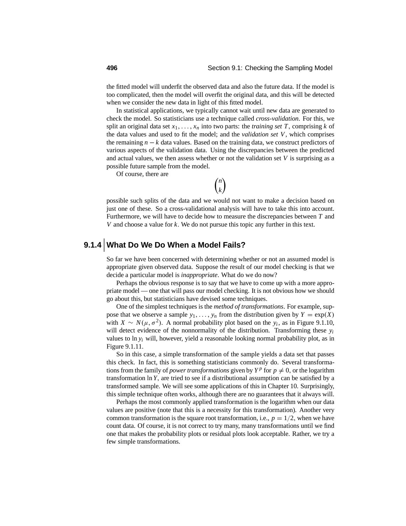the fitted model will underfit the observed data and also the future data. If the model is too complicated, then the model will overfit the original data, and this will be detected when we consider the new data in light of this fitted model.

In statistical applications, we typically cannot wait until new data are generated to check the model. So statisticians use a technique called *cross-validation*. For this, we split an original data set  $x_1, \ldots, x_n$  into two parts: the *training set T*, comprising *k* of the data values and used to fit the model; and the *validation set V*, which comprises the remaining  $n - k$  data values. Based on the training data, we construct predictors of various aspects of the validation data. Using the discrepancies between the predicted and actual values, we then assess whether or not the validation set *V* is surprising as a possible future sample from the model.

Of course, there are

#### \$ *n k*  $\lambda$

possible such splits of the data and we would not want to make a decision based on just one of these. So a cross-validational analysis will have to take this into account. Furthermore, we will have to decide how to measure the discrepancies between *T* and *V* and choose a value for *k*. We do not pursue this topic any further in this text.

# **9.1.4 What Do We Do When a Model Fails?**

So far we have been concerned with determining whether or not an assumed model is appropriate given observed data. Suppose the result of our model checking is that we decide a particular model is *inappropriate*. What do we do now?

Perhaps the obvious response is to say that we have to come up with a more appropriate model — one that will pass our model checking. It is not obvious how we should go about this, but statisticians have devised some techniques.

One of the simplest techniques is the *method of transformations*. For example, suppose that we observe a sample  $y_1, \ldots, y_n$  from the distribution given by  $Y = \exp(X)$ with  $X \sim N(\mu, \sigma^2)$ . A normal probability plot based on the *y<sub>i</sub>*, as in Figure 9.1.10, will detect evidence of the nonnormality of the distribution. Transforming these *yi* values to ln *yi* will, however, yield a reasonable looking normal probability plot, as in Figure 9.1.11.

So in this case, a simple transformation of the sample yields a data set that passes this check. In fact, this is something statisticians commonly do. Several transformations from the family of *power transformations* given by  $Y^p$  for  $p \neq 0$ , or the logarithm transformation ln *Y*, are tried to see if a distributional assumption can be satisfied by a transformed sample. We will see some applications of this in Chapter 10. Surprisingly, this simple technique often works, although there are no guarantees that it always will.

Perhaps the most commonly applied transformation is the logarithm when our data values are positive (note that this is a necessity for this transformation). Another very common transformation is the square root transformation, i.e.,  $p = 1/2$ , when we have count data. Of course, it is not correct to try many, many transformations until we find one that makes the probability plots or residual plots look acceptable. Rather, we try a few simple transformations.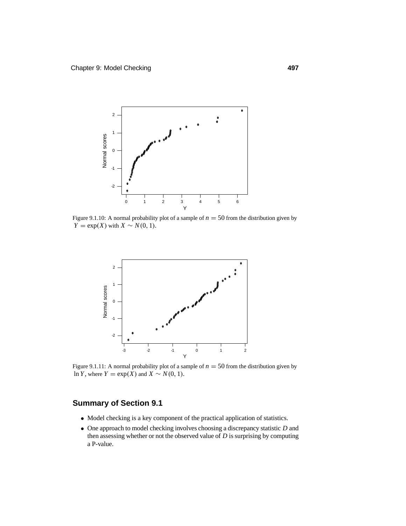

Figure 9.1.10: A normal probability plot of a sample of *<sup>n</sup>* <sup>=</sup> <sup>50</sup> from the distribution given by  $Y = \exp(X)$  with  $X \sim N(0, 1)$ .



Figure 9.1.11: A normal probability plot of a sample of  $n = 50$  from the distribution given by ln *Y*, where *Y* = exp(*X*) and *X* ∼ *N*(0, 1).

# **Summary of Section 9.1**

- Model checking is a key component of the practical application of statistics.
- One approach to model checking involves choosing a discrepancy statistic *<sup>D</sup>* and then assessing whether or not the observed value of *D* is surprising by computing a P-value.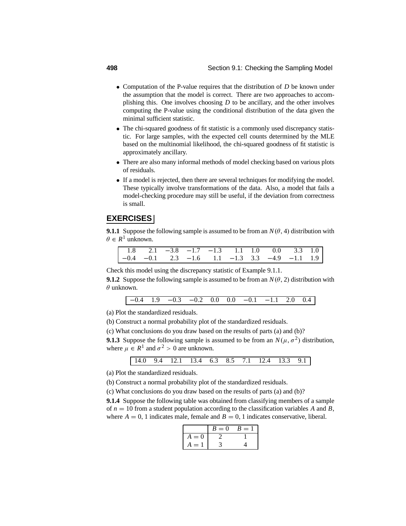- Computation of the P-value requires that the distribution of *<sup>D</sup>* be known under the assumption that the model is correct. There are two approaches to accomplishing this. One involves choosing *D* to be ancillary, and the other involves computing the P-value using the conditional distribution of the data given the minimal sufficient statistic.
- The chi-squared goodness of fit statistic is a commonly used discrepancy statistic. For large samples, with the expected cell counts determined by the MLE based on the multinomial likelihood, the chi-squared goodness of fit statistic is approximately ancillary.
- There are also many informal methods of model checking based on various plots of residuals.
- If a model is rejected, then there are several techniques for modifying the model. These typically involve transformations of the data. Also, a model that fails a model-checking procedure may still be useful, if the deviation from correctness is small.

# **EXERCISES**

**9.1.1** Suppose the following sample is assumed to be from an  $N(\theta, 4)$  distribution with  $\theta \in R^1$  unknown.

| $\begin{array}{ rrrrrrrrrrr } -0.4 & -0.1 & 2.3 & -1.6 & 1.1 & -1.3 & 3.3 & -4.9 & -1.1 & 1.9 \end{array}$ |  |  |  |  |  |
|------------------------------------------------------------------------------------------------------------|--|--|--|--|--|

Check this model using the discrepancy statistic of Example 9.1.1.

**9.1.2** Suppose the following sample is assumed to be from an  $N(\theta, 2)$  distribution with  $\theta$  unknown.

(a) Plot the standardized residuals.

(b) Construct a normal probability plot of the standardized residuals.

(c) What conclusions do you draw based on the results of parts (a) and (b)?

**9.1.3** Suppose the following sample is assumed to be from an  $N(\mu, \sigma^2)$  distribution, where  $\mu \in R^1$  and  $\sigma^2 > 0$  are unknown.

14.0 9.4 12.1 13.4 6.3 8.5 7.1 12.4 13.3 9.1

(a) Plot the standardized residuals.

(b) Construct a normal probability plot of the standardized residuals.

(c) What conclusions do you draw based on the results of parts (a) and (b)?

**9.1.4** Suppose the following table was obtained from classifying members of a sample of  $n = 10$  from a student population according to the classification variables A and B, where  $A = 0$ , 1 indicates male, female and  $B = 0$ , 1 indicates conservative, liberal.

|        | $= 0$ | Ω<br>-<br>ני |
|--------|-------|--------------|
| 0<br>= |       |              |
|        |       |              |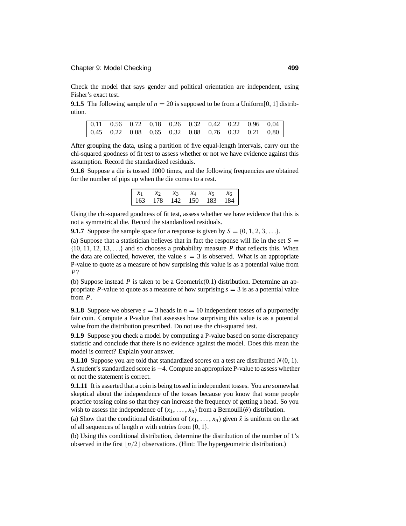Check the model that says gender and political orientation are independent, using Fisher's exact test.

**9.1.5** The following sample of  $n = 20$  is supposed to be from a Uniform[0, 1] distribution.

|  |  |  |  | $0.11$ $0.56$ $0.72$ $0.18$ $0.26$ $0.32$ $0.42$ $0.22$ $0.96$ $0.04$ |
|--|--|--|--|-----------------------------------------------------------------------|
|  |  |  |  | $0.45$ $0.22$ $0.08$ $0.65$ $0.32$ $0.88$ $0.76$ $0.32$ $0.21$ $0.80$ |

After grouping the data, using a partition of five equal-length intervals, carry out the chi-squared goodness of fit test to assess whether or not we have evidence against this assumption. Record the standardized residuals.

**9.1.6** Suppose a die is tossed 1000 times, and the following frequencies are obtained for the number of pips up when the die comes to a rest.

| $\mathcal{X}$ 1 | $\mathcal{X}$           | $x_3$ | $x_4$ $x_5$ | $x_{6}$ |
|-----------------|-------------------------|-------|-------------|---------|
|                 | 163 178 142 150 183 184 |       |             |         |

Using the chi-squared goodness of fit test, assess whether we have evidence that this is not a symmetrical die. Record the standardized residuals.

**9.1.7** Suppose the sample space for a response is given by  $S = \{0, 1, 2, 3, \ldots\}$ .

(a) Suppose that a statistician believes that in fact the response will lie in the set  $S =$  ${10, 11, 12, 13, \ldots}$  and so chooses a probability measure *P* that reflects this. When the data are collected, however, the value  $s = 3$  is observed. What is an appropriate P-value to quote as a measure of how surprising this value is as a potential value from *P*?

(b) Suppose instead *P* is taken to be a Geometric(0.1) distribution. Determine an appropriate *P*-value to quote as a measure of how surprising  $s = 3$  is as a potential value from *P*.

**9.1.8** Suppose we observe  $s = 3$  heads in  $n = 10$  independent tosses of a purportedly fair coin. Compute a P-value that assesses how surprising this value is as a potential value from the distribution prescribed. Do not use the chi-squared test.

**9.1.9** Suppose you check a model by computing a P-value based on some discrepancy statistic and conclude that there is no evidence against the model. Does this mean the model is correct? Explain your answer.

**9.1.10** Suppose you are told that standardized scores on a test are distributed *N*(0, 1). A student's standardized score is <sup>−</sup>4. Compute an appropriate P-value to assess whether or not the statement is correct.

**9.1.11** It is asserted that a coin is being tossed in independent tosses. You are somewhat skeptical about the independence of the tosses because you know that some people practice tossing coins so that they can increase the frequency of getting a head. So you wish to assess the independence of  $(x_1, \ldots, x_n)$  from a Bernoulli( $\theta$ ) distribution.

(a) Show that the conditional distribution of  $(x_1, \ldots, x_n)$  given  $\bar{x}$  is uniform on the set of all sequences of length  $n$  with entries from  $\{0, 1\}$ .

(b) Using this conditional distribution, determine the distribution of the number of 1's observed in the first  $\lfloor n/2 \rfloor$  observations. (Hint: The hypergeometric distribution.)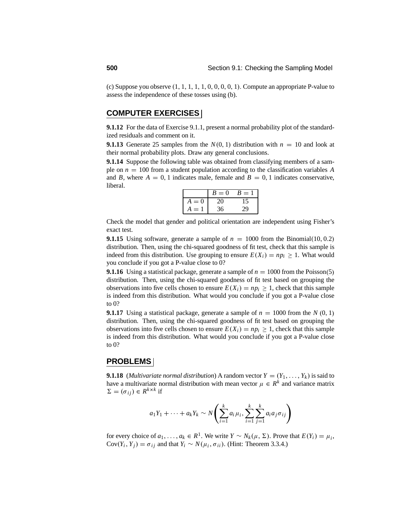(c) Suppose you observe  $(1, 1, 1, 1, 1, 0, 0, 0, 0, 1)$ . Compute an appropriate P-value to assess the independence of these tosses using (b).

# **COMPUTER EXERCISES**

**9.1.12** For the data of Exercise 9.1.1, present a normal probability plot of the standardized residuals and comment on it.

**9.1.13** Generate 25 samples from the  $N(0, 1)$  distribution with  $n = 10$  and look at their normal probability plots. Draw any general conclusions.

**9.1.14** Suppose the following table was obtained from classifying members of a sample on *<sup>n</sup>* <sup>=</sup> 100 from a student population according to the classification variables *<sup>A</sup>* and *B*, where  $A = 0, 1$  indicates male, female and  $B = 0, 1$  indicates conservative, liberal.

|       | $= 0$ | к.<br>$=1$ |
|-------|-------|------------|
| $= 0$ |       |            |
|       | 36    |            |

Check the model that gender and political orientation are independent using Fisher's exact test.

**9.1.15** Using software, generate a sample of  $n = 1000$  from the Binomial(10, 0.2) distribution. Then, using the chi-squared goodness of fit test, check that this sample is indeed from this distribution. Use grouping to ensure  $E(X_i) = np_i \ge 1$ . What would you conclude if you got a P-value close to 0?

**9.1.16** Using a statistical package, generate a sample of  $n = 1000$  from the Poisson(5) distribution. Then, using the chi-squared goodness of fit test based on grouping the observations into five cells chosen to ensure  $E(X_i) = np_i \ge 1$ , check that this sample is indeed from this distribution. What would you conclude if you got a P-value close to 0?

**9.1.17** Using a statistical package, generate a sample of  $n = 1000$  from the  $N(0, 1)$ distribution. Then, using the chi-squared goodness of fit test based on grouping the observations into five cells chosen to ensure  $E(X_i) = np_i \ge 1$ , check that this sample is indeed from this distribution. What would you conclude if you got a P-value close to 0?

# **PROBLEMS**

**9.1.18** (*Multivariate normal distribution*) A random vector  $Y = (Y_1, \ldots, Y_k)$  is said to have a multivariate normal distribution with mean vector  $\mu \in \mathbb{R}^k$  and variance matrix  $\Sigma = (\sigma_{ij}) \in R^{k \times k}$  if

$$
a_1Y_1 + \cdots + a_kY_k \sim N\left(\sum_{i=1}^k a_i\mu_i, \sum_{i=1}^k \sum_{j=1}^k a_i a_j \sigma_{ij}\right)
$$

for every choice of  $a_1, \ldots, a_k \in R^1$ . We write  $Y \sim N_k(\mu, \Sigma)$ . Prove that  $E(Y_i) = \mu_i$ , Cov( $Y_i$ ,  $Y_j$ ) =  $\sigma_{ij}$  and that  $Y_i \sim N(\mu_i, \sigma_{ii})$ . (Hint: Theorem 3.3.4.)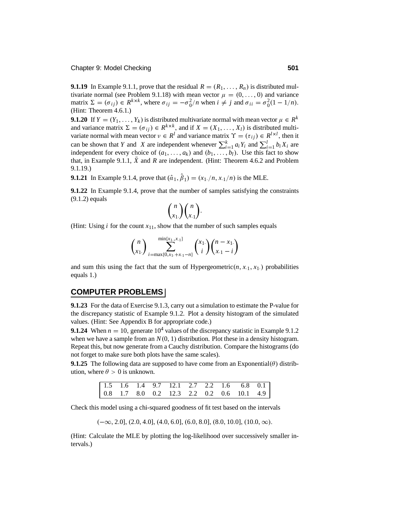Chapter 9: Model Checking **501**

**9.1.19** In Example 9.1.1, prove that the residual  $R = (R_1, \ldots, R_n)$  is distributed multivariate normal (see Problem 9.1.18) with mean vector  $\mu = (0, \ldots, 0)$  and variance matrix  $\Sigma = (\sigma_{ij}) \in R^{k \times k}$ , where  $\sigma_{ij} = -\sigma_0^2/n$  when  $i \neq j$  and  $\sigma_{ii} = \sigma_0^2(1 - 1/n)$ . (Hint: Theorem 4.6.1.)

**9.1.20** If  $Y = (Y_1, \ldots, Y_k)$  is distributed multivariate normal with mean vector  $\mu \in \mathbb{R}^k$ and variance matrix  $\Sigma = (\sigma_{ij}) \in R^{k \times k}$ , and if  $X = (X_1, \ldots, X_l)$  is distributed multivariate normal with mean vector  $v \in R^l$  and variance matrix  $\Upsilon = (\tau_{ij}) \in R^{l \times l}$ , then it can be shown that *Y* and *X* are independent whenever  $\sum_{i=1}^{k} a_i Y_i$  and  $\sum_{i=1}^{l} b_i X_i$  are independent for every choice of  $(a_1, \ldots, a_k)$  and  $(b_1, \ldots, b_l)$ . Use this fact to show that, in Example 9.1.1,  $\bar{X}$  and *R* are independent. (Hint: Theorem 4.6.2 and Problem 9.1.19.)

**9.1.21** In Example 9.1.4, prove that  $(\hat{a}_1, \hat{\beta}_1) = (x_1/n, x_1/n)$  is the MLE.

**9.1.22** In Example 9.1.4, prove that the number of samples satisfying the constraints (9.1.2) equals

$$
\binom{n}{x_1}\binom{n}{x_1}.
$$

(Hint: Using  $i$  for the count  $x_{11}$ , show that the number of such samples equals

$$
\binom{n}{x_1} \sum_{i=\max\{0,x_1,+x_1-n\}}^{\min\{x_1,x_1\}} \binom{x_1}{i} \binom{n-x_1}{x_1-i}
$$

and sum this using the fact that the sum of Hypergeometric( $n$ ,  $x_1$ ,  $x_1$ .) probabilities equals 1.)

# **COMPUTER PROBLEMS**

**9.1.23** For the data of Exercise 9.1.3, carry out a simulation to estimate the P-value for the discrepancy statistic of Example 9.1.2. Plot a density histogram of the simulated values. (Hint: See Appendix B for appropriate code.)

**9.1.24** When  $n = 10$ , generate  $10<sup>4</sup>$  values of the discrepancy statistic in Example 9.1.2 when we have a sample from an  $N(0, 1)$  distribution. Plot these in a density histogram. Repeat this, but now generate from a Cauchy distribution. Compare the histograms (do not forget to make sure both plots have the same scales).

**9.1.25** The following data are supposed to have come from an Exponential( $\theta$ ) distribution, where  $\theta > 0$  is unknown.

|  |  |  |  | $\begin{bmatrix} 0.8 & 1.7 & 8.0 & 0.2 & 12.3 & 2.2 & 0.2 & 0.6 & 10.1 & 4.9 \end{bmatrix}$ |  |
|--|--|--|--|---------------------------------------------------------------------------------------------|--|

Check this model using a chi-squared goodness of fit test based on the intervals

(−∞, <sup>2</sup>.0], (2.0, <sup>4</sup>.0], (4.0, <sup>6</sup>.0], (6.0, <sup>8</sup>.0], (8.0, <sup>10</sup>.0], (10.0,∞).

(Hint: Calculate the MLE by plotting the log-likelihood over successively smaller intervals.)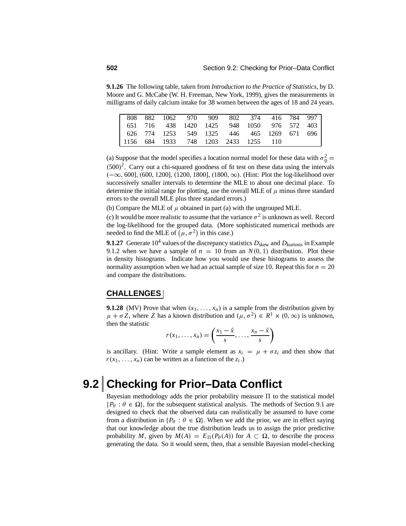**9.1.26** The following table, taken from *Introduction to the Practice of Statistics*, by D. Moore and G. McCabe (W. H. Freeman, New York, 1999), gives the measurements in milligrams of daily calcium intake for 38 women between the ages of 18 and 24 years.

|  |  | 808 882 1062 970 909 802 374 416 784 997   |  |  |
|--|--|--------------------------------------------|--|--|
|  |  | 651 716 438 1420 1425 948 1050 976 572 403 |  |  |
|  |  |                                            |  |  |
|  |  | 626 774 1253 549 1325 446 465 1269 671 696 |  |  |
|  |  | 1156 684 1933 748 1203 2433 1255 110       |  |  |

(a) Suppose that the model specifies a location normal model for these data with  $\sigma_0^2 =$ (500) 2. Carry out a chi-squared goodness of fit test on these data using the intervals (−∞, 600], (600, 1200], (1200, 1800], (1800,∞). (Hint: Plot the log-likelihood over successively smaller intervals to determine the MLE to about one decimal place. To determine the initial range for plotting, use the overall MLE of  $\mu$  minus three standard errors to the overall MLE plus three standard errors.)

(b) Compare the MLE of  $\mu$  obtained in part (a) with the ungrouped MLE.

(c) It would be more realistic to assume that the variance  $\sigma^2$  is unknown as well. Record the log-likelihood for the grouped data. (More sophisticated numerical methods are needed to find the MLE of  $(\mu, \sigma^2)$  in this case.)

**9.1.27** Generate 10<sup>4</sup> values of the discrepancy statistics  $D_{\text{skew}}$  and  $D_{\text{kurtosis}}$  in Example 9.1.2 when we have a sample of  $n = 10$  from an  $N(0, 1)$  distribution. Plot these in density histograms. Indicate how you would use these histograms to assess the normality assumption when we had an actual sample of size 10. Repeat this for  $n = 20$ and compare the distributions.

# **CHALLENGES**

**9.1.28** (MV) Prove that when  $(x_1, \ldots, x_n)$  is a sample from the distribution given by  $\mu + \sigma Z$ , where *Z* has a known distribution and  $(\mu, \sigma^2) \in R^1 \times (0, \infty)$  is unknown, then the statistic

$$
r(x_1,\ldots,x_n)=\left(\frac{x_1-\bar{x}}{s},\ldots,\frac{x_n-\bar{x}}{s}\right)
$$

is ancillary. (Hint: Write a sample element as  $x_i = \mu + \sigma z_i$  and then show that  $r(x_1, \ldots, x_n)$  can be written as a function of the  $z_i$ .)

# **9.2 Checking for Prior–Data Conflict**

Bayesian methodology adds the prior probability measure  $\Pi$  to the statistical model  ${P_\theta : \theta \in \Omega}$ , for the subsequent statistical analysis. The methods of Section 9.1 are designed to check that the observed data can realistically be assumed to have come from a distribution in  $\{P_\theta : \theta \in \Omega\}$ . When we add the prior, we are in effect saying that our knowledge about the true distribution leads us to assign the prior predictive probability *M*, given by  $M(A) = E_{\Pi}(P_{\theta}(A))$  for  $A \subset \Omega$ , to describe the process generating the data. So it would seem, then, that a sensible Bayesian model-checking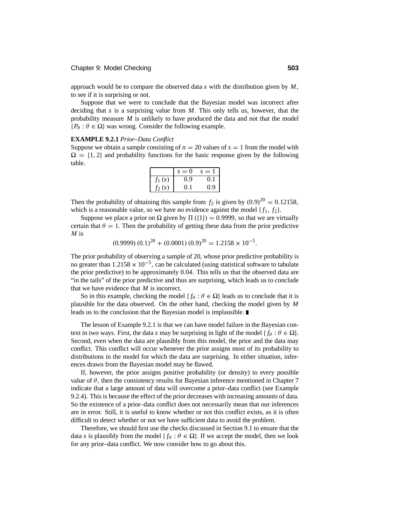approach would be to compare the observed data *s* with the distribution given by *M*, to see if it is surprising or not.

Suppose that we were to conclude that the Bayesian model was incorrect after deciding that *s* is a surprising value from *M*. This only tells us, however, that the probability measure *M* is unlikely to have produced the data and not that the model  ${P_{\theta} : \theta \in \Omega}$  was wrong. Consider the following example.

#### **EXAMPLE 9.2.1** *Prior–Data Conflict*

Suppose we obtain a sample consisting of  $n = 20$  values of  $s = 1$  from the model with  $\Omega = \{1, 2\}$  and probability functions for the basic response given by the following table.

|          | $r = 0$ | $s =$ |
|----------|---------|-------|
| $f_1(s)$ | 0.9     | 0. 1  |
| $f_2(s)$ | 0.1     | 09    |

Then the probability of obtaining this sample from  $f_2$  is given by  $(0.9)^{20} = 0.12158$ , which is a reasonable value, so we have no evidence against the model  $\{f_1, f_2\}$ .

Suppose we place a prior on  $\Omega$  given by  $\Pi$  ({1}) = 0.9999, so that we are virtually certain that  $\theta = 1$ . Then the probability of getting these data from the prior predictive *M* is

$$
(0.9999) (0.1)^{20} + (0.0001) (0.9)^{20} = 1.2158 \times 10^{-5}.
$$

The prior probability of observing a sample of 20, whose prior predictive probability is no greater than  $1.2158 \times 10^{-5}$ , can be calculated (using statistical software to tabulate the prior predictive) to be approximately 0.04. This tells us that the observed data are "in the tails" of the prior predictive and thus are surprising, which leads us to conclude that we have evidence that *M* is incorrect.

So in this example, checking the model  $\{f_{\theta} : \theta \in \Omega\}$  leads us to conclude that it is plausible for the data observed. On the other hand, checking the model given by *M* leads us to the conclusion that the Bayesian model is implausible.

The lesson of Example 9.2.1 is that we can have model failure in the Bayesian context in two ways. First, the data *s* may be surprising in light of the model { $f_{\theta}$  :  $\theta \in \Omega$ }. Second, even when the data are plausibly from this model, the prior and the data may conflict. This conflict will occur whenever the prior assigns most of its probability to distributions in the model for which the data are surprising. In either situation, inferences drawn from the Bayesian model may be flawed.

If, however, the prior assigns positive probability (or density) to every possible value of  $\theta$ , then the consistency results for Bayesian inference mentioned in Chapter 7 indicate that a large amount of data will overcome a prior–data conflict (see Example 9.2.4). This is because the effect of the prior decreases with increasing amounts of data. So the existence of a prior–data conflict does not necessarily mean that our inferences are in error. Still, it is useful to know whether or not this conflict exists, as it is often difficult to detect whether or not we have sufficient data to avoid the problem.

Therefore, we should first use the checks discussed in Section 9.1 to ensure that the data *s* is plausibly from the model { $f_{\theta}$  :  $\theta \in \Omega$ }. If we accept the model, then we look for any prior–data conflict. We now consider how to go about this.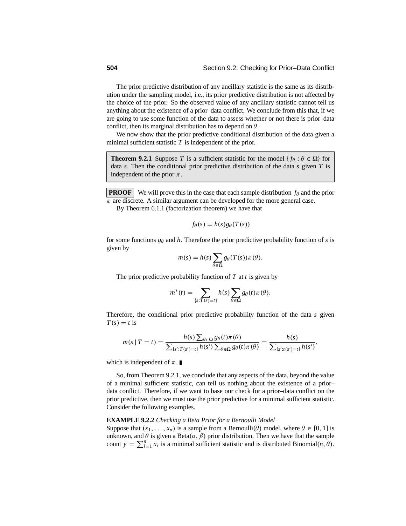The prior predictive distribution of any ancillary statistic is the same as its distribution under the sampling model, i.e., its prior predictive distribution is not affected by the choice of the prior. So the observed value of any ancillary statistic cannot tell us anything about the existence of a prior–data conflict. We conclude from this that, if we are going to use some function of the data to assess whether or not there is prior–data conflict, then its marginal distribution has to depend on  $\theta$ .

We now show that the prior predictive conditional distribution of the data given a minimal sufficient statistic *T* is independent of the prior.

**Theorem 9.2.1** Suppose *T* is a sufficient statistic for the model  $\{f_{\theta} : \theta \in \Omega\}$  for data *s*. Then the conditional prior predictive distribution of the data *s* given *T* is independent of the prior  $\pi$ .

**PROOF** We will prove this in the case that each sample distribution  $f_{\theta}$  and the prior  $\overline{\pi}$  are discrete. A similar argument can be developed for the more general case.

By Theorem 6.1.1 (factorization theorem) we have that

$$
f_{\theta}(s) = h(s)g_{\theta}(T(s))
$$

for some functions  $g_{\theta}$  and *h*. Therefore the prior predictive probability function of *s* is given by

$$
m(s) = h(s) \sum_{\theta \in \Omega} g_{\theta}(T(s)) \pi(\theta).
$$

The prior predictive probability function of *T* at *t* is given by

$$
m^*(t) = \sum_{\{s: T(s) = t\}} h(s) \sum_{\theta \in \Omega} g_{\theta}(t) \pi(\theta).
$$

Therefore, the conditional prior predictive probability function of the data *s* given  $T(s) = t$  is

$$
m(s | T = t) = \frac{h(s) \sum_{\theta \in \Omega} g_{\theta}(t) \pi(\theta)}{\sum_{\{s': T(s') = t\}} h(s') \sum_{\theta \in \Omega} g_{\theta}(t) \pi(\theta)} = \frac{h(s)}{\sum_{\{s': T(s') = t\}} h(s')},
$$

which is independent of  $\pi$ .

So, from Theorem 9.2.1, we conclude that any aspects of the data, beyond the value of a minimal sufficient statistic, can tell us nothing about the existence of a prior– data conflict. Therefore, if we want to base our check for a prior–data conflict on the prior predictive, then we must use the prior predictive for a minimal sufficient statistic. Consider the following examples.

#### **EXAMPLE 9.2.2** *Checking a Beta Prior for a Bernoulli Model*

Suppose that  $(x_1, \ldots, x_n)$  is a sample from a Bernoulli( $\theta$ ) model, where  $\theta \in [0, 1]$  is unknown, and  $\theta$  is given a Beta $(\alpha, \beta)$  prior distribution. Then we have that the sample count  $y = \sum_{i=1}^{n} x_i$  is a minimal sufficient statistic and is distributed Binomial $(n, \theta)$ .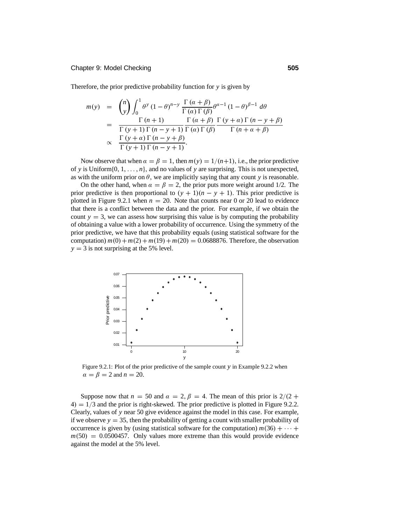Therefore, the prior predictive probability function for *y* is given by

$$
m(y) = {n \choose y} \int_0^1 \theta^y (1-\theta)^{n-y} \frac{\Gamma(\alpha+\beta)}{\Gamma(\alpha)\Gamma(\beta)} \theta^{\alpha-1} (1-\theta)^{\beta-1} d\theta
$$
  
= 
$$
\frac{\Gamma(n+1)}{\Gamma(y+1)\Gamma(n-y+1)} \frac{\Gamma(\alpha+\beta)}{\Gamma(\alpha)\Gamma(\beta)} \frac{\Gamma(y+\alpha)\Gamma(n-y+\beta)}{\Gamma(n+\alpha+\beta)}
$$
  

$$
\propto \frac{\Gamma(y+\alpha)\Gamma(n-y+\beta)}{\Gamma(y+1)\Gamma(n-y+1)}.
$$

Now observe that when  $\alpha = \beta = 1$ , then  $m(y) = 1/(n+1)$ , i.e., the prior predictive of *<sup>y</sup>* is Uniform{0, <sup>1</sup>,..., *<sup>n</sup>*}, and no values of *<sup>y</sup>* are surprising. This is not unexpected, as with the uniform prior on  $\theta$ , we are implicitly saying that any count *y* is reasonable.

On the other hand, when  $\alpha = \beta = 2$ , the prior puts more weight around 1/2. The prior predictive is then proportional to  $(y + 1)(n - y + 1)$ . This prior predictive is plotted in Figure 9.2.1 when  $n = 20$ . Note that counts near 0 or 20 lead to evidence that there is a conflict between the data and the prior. For example, if we obtain the count  $y = 3$ , we can assess how surprising this value is by computing the probability of obtaining a value with a lower probability of occurrence. Using the symmetry of the prior predictive, we have that this probability equals (using statistical software for the computation)  $m(0) + m(2) + m(19) + m(20) = 0.0688876$ . Therefore, the observation  $y = 3$  is not surprising at the 5% level.



Figure 9.2.1: Plot of the prior predictive of the sample count *y* in Example 9.2.2 when  $\alpha = \beta = 2$  and  $n = 20$ .

Suppose now that  $n = 50$  and  $\alpha = 2$ ,  $\beta = 4$ . The mean of this prior is  $2/(2 +$  $4) = 1/3$  and the prior is right-skewed. The prior predictive is plotted in Figure 9.2.2. Clearly, values of *y* near 50 give evidence against the model in this case. For example, if we observe  $y = 35$ , then the probability of getting a count with smaller probability of occurrence is given by (using statistical software for the computation)  $m(36) + \cdots$  $m(50) = 0.0500457$ . Only values more extreme than this would provide evidence against the model at the 5% level.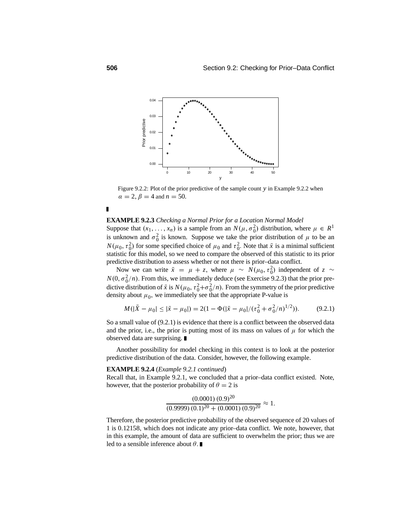

Figure 9.2.2: Plot of the prior predictive of the sample count *y* in Example 9.2.2 when  $\alpha = 2$ ,  $\beta = 4$  and  $n = 50$ .

#### $\blacksquare$

#### **EXAMPLE 9.2.3** *Checking a Normal Prior for a Location Normal Model*

Suppose that  $(x_1, ..., x_n)$  is a sample from an  $N(\mu, \sigma_0^2)$  distribution, where  $\mu \in R^1$ is unknown and  $\sigma_0^2$  is known. Suppose we take the prior distribution of  $\mu$  to be an  $N(\mu_0, \tau_0^2)$  for some specified choice of  $\mu_0$  and  $\tau_0^2$ . Note that  $\bar{x}$  is a minimal sufficient statistic for this model, so we need to compare the observed of this statistic to its prior predictive distribution to assess whether or not there is prior–data conflict.

Now we can write  $\bar{x} = \mu + z$ , where  $\mu \sim N(\mu_0, \tau_0^2)$  independent of  $z \sim$  $N(0, \sigma_0^2/n)$ . From this, we immediately deduce (see Exercise 9.2.3) that the prior predictive distribution of  $\bar{x}$  is  $N(\mu_0, \tau_0^2+\sigma_0^2/n)$ . From the symmetry of the prior predictive density about  $\mu_0$ , we immediately see that the appropriate P-value is

$$
M(|\bar{X} - \mu_0| \le |\bar{x} - \mu_0|) = 2(1 - \Phi(|\bar{x} - \mu_0|/(\tau_0^2 + \sigma_0^2/n)^{1/2})).
$$
 (9.2.1)

So a small value of (9.2.1) is evidence that there is a conflict between the observed data and the prior, i.e., the prior is putting most of its mass on values of  $\mu$  for which the observed data are surprising.

Another possibility for model checking in this context is to look at the posterior predictive distribution of the data. Consider, however, the following example.

#### **EXAMPLE 9.2.4** (*Example 9.2.1 continued*)

Recall that, in Example 9.2.1, we concluded that a prior–data conflict existed. Note, however, that the posterior probability of  $\theta = 2$  is

$$
\frac{(0.0001)(0.9)^{20}}{(0.9999)(0.1)^{20} + (0.0001)(0.9)^{20}} \approx 1.
$$

Therefore, the posterior predictive probability of the observed sequence of 20 values of 1 is 0.12158, which does not indicate any prior–data conflict. We note, however, that in this example, the amount of data are sufficient to overwhelm the prior; thus we are led to a sensible inference about  $\theta$ .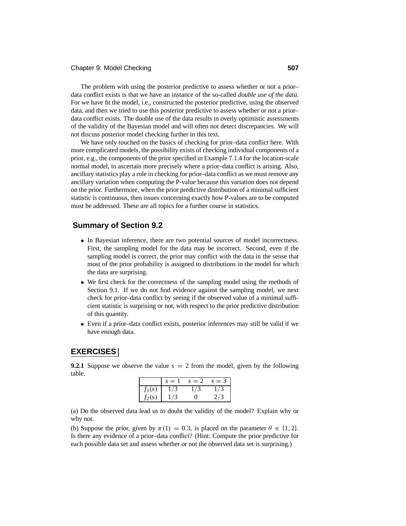The problem with using the posterior predictive to assess whether or not a prior– data conflict exists is that we have an instance of the so-called *double use of the data*. For we have fit the model, i.e., constructed the posterior predictive, using the observed data, and then we tried to use this posterior predictive to assess whether or not a prior– data conflict exists. The double use of the data results in overly optimistic assessments of the validity of the Bayesian model and will often not detect discrepancies. We will not discuss posterior model checking further in this text.

We have only touched on the basics of checking for prior–data conflict here. With more complicated models, the possibility exists of checking individual components of a prior, e.g., the components of the prior specified in Example 7.1.4 for the location-scale normal model, to ascertain more precisely where a prior–data conflict is arising. Also, ancillary statistics play a role in checking for prior–data conflict as we must remove any ancillary variation when computing the P-value because this variation does not depend on the prior. Furthermore, when the prior predictive distribution of a minimal sufficient statistic is continuous, then issues concerning exactly how P-values are to be computed must be addressed. These are all topics for a further course in statistics.

### **Summary of Section 9.2**

- In Bayesian inference, there are two potential sources of model incorrectness. First, the sampling model for the data may be incorrect. Second, even if the sampling model is correct, the prior may conflict with the data in the sense that most of the prior probability is assigned to distributions in the model for which the data are surprising.
- We first check for the correctness of the sampling model using the methods of Section 9.1. If we do not find evidence against the sampling model, we next check for prior–data conflict by seeing if the observed value of a minimal sufficient statistic is surprising or not, with respect to the prior predictive distribution of this quantity.
- Even if a prior–data conflict exists, posterior inferences may still be valid if we have enough data.

# **EXERCISES**

**9.2.1** Suppose we observe the value  $s = 2$  from the model, given by the following table.

|          | $s =$ | $s=2$ | $s = 3$ |
|----------|-------|-------|---------|
| $f_1(s)$ | 1/3   | 1/3   |         |
| $f_2(s)$ |       |       | 2/3     |

(a) Do the observed data lead us to doubt the validity of the model? Explain why or why not.

(b) Suppose the prior, given by  $\pi(1) = 0.3$ , is placed on the parameter  $\theta \in \{1, 2\}$ . Is there any evidence of a prior–data conflict? (Hint: Compute the prior predictive for each possible data set and assess whether or not the observed data set is surprising.)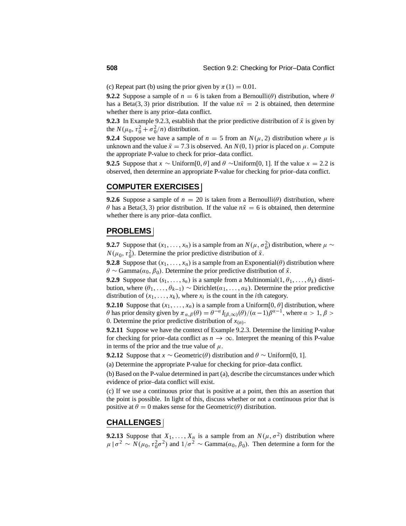(c) Repeat part (b) using the prior given by  $\pi(1) = 0.01$ .

**9.2.2** Suppose a sample of  $n = 6$  is taken from a Bernoulli( $\theta$ ) distribution, where  $\theta$ has a Beta(3, 3) prior distribution. If the value  $n\bar{x} = 2$  is obtained, then determine whether there is any prior–data conflict.

**9.2.3** In Example 9.2.3, establish that the prior predictive distribution of  $\bar{x}$  is given by the  $N(\mu_0, \tau_0^2 + \sigma_0^2/n)$  distribution.

**9.2.4** Suppose we have a sample of  $n = 5$  from an  $N(\mu, 2)$  distribution where  $\mu$  is unknown and the value  $\bar{x} = 7.3$  is observed. An  $N(0, 1)$  prior is placed on  $\mu$ . Compute the appropriate P-value to check for prior–data conflict.

**9.2.5** Suppose that *x* ∼ Uniform[0,  $\theta$ ] and  $\theta$  ∼Uniform[0, 1]. If the value *x* = 2.2 is observed, then determine an appropriate P-value for checking for prior–data conflict.

# **COMPUTER EXERCISES**

**9.2.6** Suppose a sample of  $n = 20$  is taken from a Bernoulli( $\theta$ ) distribution, where  $\theta$  has a Beta(3, 3) prior distribution. If the value  $n\bar{x} = 6$  is obtained, then determine whether there is any prior–data conflict.

## **PROBLEMS**

**9.2.7** Suppose that  $(x_1, \ldots, x_n)$  is a sample from an  $N(\mu, \sigma_0^2)$  distribution, where  $\mu \sim$  $N(\mu_0, \tau_0^2)$ . Determine the prior predictive distribution of  $\bar{x}$ .

**9.2.8** Suppose that  $(x_1, \ldots, x_n)$  is a sample from an Exponential( $\theta$ ) distribution where  $\theta \sim \text{Gamma}(\alpha_0, \beta_0)$ . Determine the prior predictive distribution of  $\bar{x}$ .

**9.2.9** Suppose that  $(s_1, \ldots, s_n)$  is a sample from a Multinomial $(1, \theta_1, \ldots, \theta_k)$  distribution, where  $(\theta_1, \ldots, \theta_{k-1}) \sim \text{Dirichlet}(\alpha_1, \ldots, \alpha_k)$ . Determine the prior predictive distribution of  $(x_1, \ldots, x_k)$ , where  $x_i$  is the count in the *i*th category.

**9.2.10** Suppose that  $(x_1, \ldots, x_n)$  is a sample from a Uniform[0,  $\theta$ ] distribution, where θ has prior density given by  $\pi_{\alpha,\beta}(\theta) = \theta^{-\alpha} I_{\beta,\infty}(\theta) / (\alpha - 1)\beta^{\alpha-1}$ , where  $\alpha > 1, \beta >$ 0. Determine the prior predictive distribution of  $x_{(n)}$ .

**9.2.11** Suppose we have the context of Example 9.2.3. Determine the limiting P-value for checking for prior–data conflict as  $n \to \infty$ . Interpret the meaning of this P-value in terms of the prior and the true value of  $\mu$ .

**9.2.12** Suppose that *x* ∼ Geometric( $\theta$ ) distribution and  $\theta$  ∼ Uniform[0, 1].

(a) Determine the appropriate P-value for checking for prior–data conflict.

(b) Based on the P-value determined in part (a), describe the circumstances under which evidence of prior–data conflict will exist.

(c) If we use a continuous prior that is positive at a point, then this an assertion that the point is possible. In light of this, discuss whether or not a continuous prior that is positive at  $\theta = 0$  makes sense for the Geometric( $\theta$ ) distribution.

# **CHALLENGES**

**9.2.13** Suppose that  $X_1, \ldots, X_n$  is a sample from an  $N(\mu, \sigma^2)$  distribution where  $\mu | \sigma^2 \sim N(\mu_0, \tau_0^2 \sigma^2)$  and  $1/\sigma^2 \sim \text{Gamma}(\alpha_0, \beta_0)$ . Then determine a form for the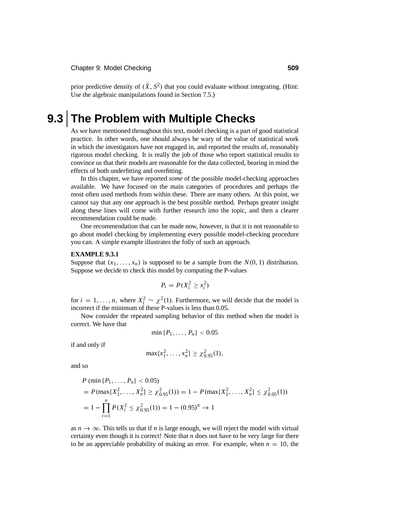prior predictive density of  $(\bar{X}, S^2)$  that you could evaluate without integrating. (Hint: Use the algebraic manipulations found in Section 7.5.)

# **9.3 The Problem with Multiple Checks**

As we have mentioned throughout this text, model checking is a part of good statistical practice. In other words, one should always be wary of the value of statistical work in which the investigators have not engaged in, and reported the results of, reasonably rigorous model checking. It is really the job of those who report statistical results to convince us that their models are reasonable for the data collected, bearing in mind the effects of both underfitting and overfitting.

In this chapter, we have reported *some* of the possible model-checking approaches available. We have focused on the main categories of procedures and perhaps the most often used methods from within these. There are many others. At this point, we cannot say that any one approach is the best possible method. Perhaps greater insight along these lines will come with further research into the topic, and then a clearer recommendation could be made.

One recommendation that can be made now, however, is that it is not reasonable to go about model checking by implementing every possible model-checking procedure you can. A simple example illustrates the folly of such an approach.

### **EXAMPLE 9.3.1**

Suppose that  $(x_1, \ldots, x_n)$  is supposed to be a sample from the  $N(0, 1)$  distribution. Suppose we decide to check this model by computing the P-values

$$
P_i = P(X_i^2 \ge x_i^2)
$$

for  $i = 1, ..., n$ , where  $X_i^2 \sim \chi^2(1)$ . Furthermore, we will decide that the model is incorrect if the minimum of these P-values is less than 0.05.

Now consider the repeated sampling behavior of this method when the model is correct. We have that

$$
\min\{P_1,\ldots,P_n\}<0.05
$$

if and only if

$$
\max\{x_1^2,\ldots,x_n^2\} \geq \chi_{0.95}^2(1),
$$

and so

$$
P \text{ (min } \{P_1, \dots, P_n\} < 0.05\text{)}
$$
\n
$$
= P \text{ (max } \{X_1^2, \dots, X_n^2\} \ge \chi_{0.95}^2(1)) = 1 - P \text{ (max } \{X_1^2, \dots, X_n^2\} \le \chi_{0.05}^2(1))
$$
\n
$$
= 1 - \prod_{i=1}^n P(X_i^2 \le \chi_{0.95}^2(1)) = 1 - (0.95)^n \to 1
$$

as  $n \to \infty$ . This tells us that if *n* is large enough, we will reject the model with virtual certainty even though it is correct! Note that *n* does not have to be very large for there to be an appreciable probability of making an error. For example, when  $n = 10$ , the